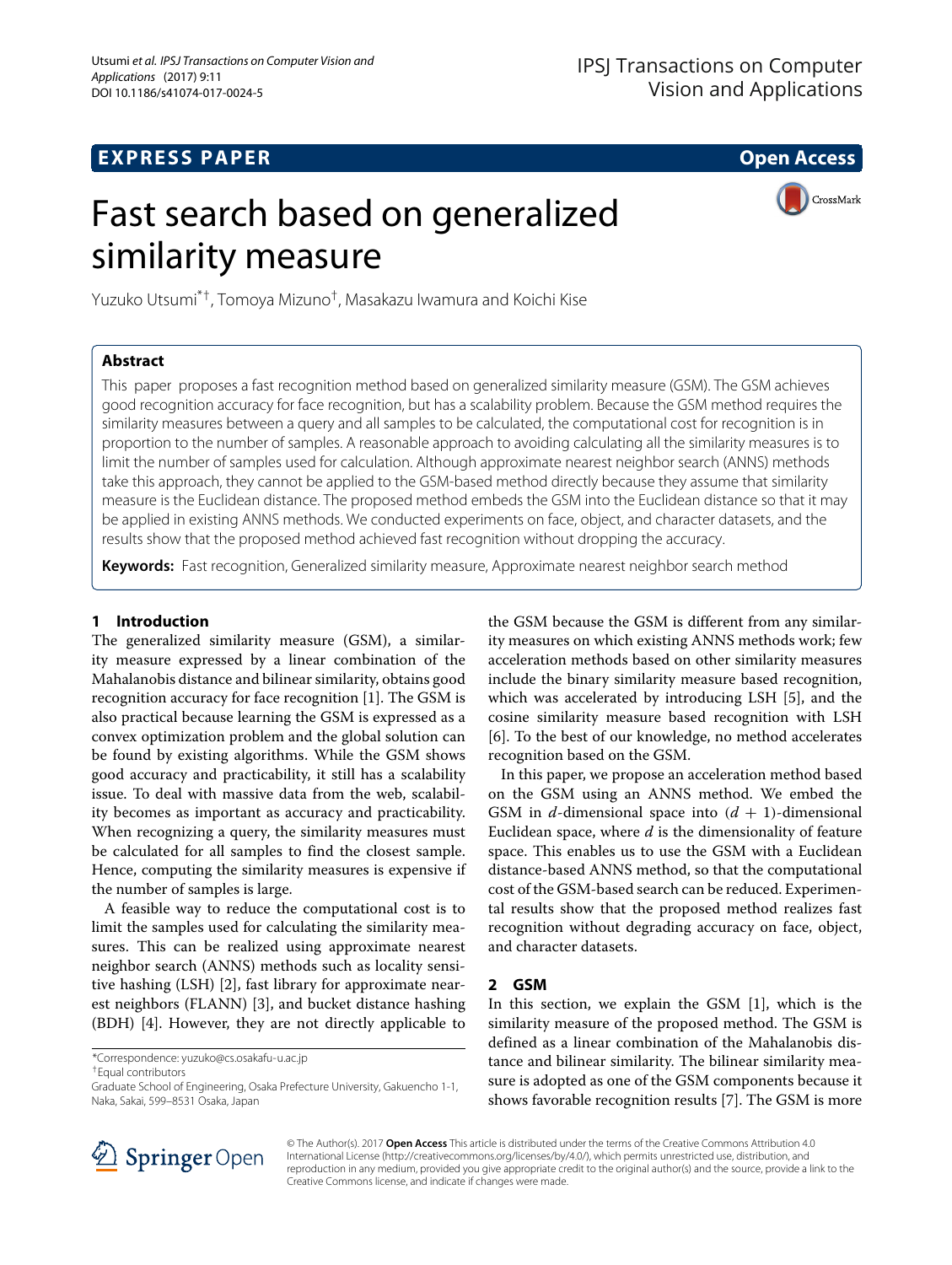# **EXPRESS PAPER Open Access**

CrossMark

# Fast search based on generalized similarity measure

Yuzuko Utsumi\*†, Tomoya Mizuno†, Masakazu Iwamura and Koichi Kise

# **Abstract**

This paper proposes a fast recognition method based on generalized similarity measure (GSM). The GSM achieves good recognition accuracy for face recognition, but has a scalability problem. Because the GSM method requires the similarity measures between a query and all samples to be calculated, the computational cost for recognition is in proportion to the number of samples. A reasonable approach to avoiding calculating all the similarity measures is to limit the number of samples used for calculation. Although approximate nearest neighbor search (ANNS) methods take this approach, they cannot be applied to the GSM-based method directly because they assume that similarity measure is the Euclidean distance. The proposed method embeds the GSM into the Euclidean distance so that it may be applied in existing ANNS methods. We conducted experiments on face, object, and character datasets, and the results show that the proposed method achieved fast recognition without dropping the accuracy.

**Keywords:** Fast recognition, Generalized similarity measure, Approximate nearest neighbor search method

# **1 Introduction**

The generalized similarity measure (GSM), a similarity measure expressed by a linear combination of the Mahalanobis distance and bilinear similarity, obtains good recognition accuracy for face recognition [\[1\]](#page-4-0). The GSM is also practical because learning the GSM is expressed as a convex optimization problem and the global solution can be found by existing algorithms. While the GSM shows good accuracy and practicability, it still has a scalability issue. To deal with massive data from the web, scalability becomes as important as accuracy and practicability. When recognizing a query, the similarity measures must be calculated for all samples to find the closest sample. Hence, computing the similarity measures is expensive if the number of samples is large.

A feasible way to reduce the computational cost is to limit the samples used for calculating the similarity measures. This can be realized using approximate nearest neighbor search (ANNS) methods such as locality sensitive hashing (LSH) [\[2\]](#page-4-1), fast library for approximate nearest neighbors (FLANN) [\[3\]](#page-4-2), and bucket distance hashing (BDH) [\[4\]](#page-4-3). However, they are not directly applicable to the GSM because the GSM is different from any similarity measures on which existing ANNS methods work; few acceleration methods based on other similarity measures include the binary similarity measure based recognition, which was accelerated by introducing LSH [\[5\]](#page-4-4), and the cosine similarity measure based recognition with LSH [\[6\]](#page-4-5). To the best of our knowledge, no method accelerates recognition based on the GSM.

In this paper, we propose an acceleration method based on the GSM using an ANNS method. We embed the GSM in *d*-dimensional space into  $(d + 1)$ -dimensional Euclidean space, where *d* is the dimensionality of feature space. This enables us to use the GSM with a Euclidean distance-based ANNS method, so that the computational cost of the GSM-based search can be reduced. Experimental results show that the proposed method realizes fast recognition without degrading accuracy on face, object, and character datasets.

## **2 GSM**

In this section, we explain the GSM [\[1\]](#page-4-0), which is the similarity measure of the proposed method. The GSM is defined as a linear combination of the Mahalanobis distance and bilinear similarity. The bilinear similarity measure is adopted as one of the GSM components because it shows favorable recognition results [\[7\]](#page-4-6). The GSM is more



© The Author(s). 2017 **Open Access** This article is distributed under the terms of the Creative Commons Attribution 4.0 International License [\(http://creativecommons.org/licenses/by/4.0/\)](http://creativecommons.org/licenses/by/4.0/), which permits unrestricted use, distribution, and reproduction in any medium, provided you give appropriate credit to the original author(s) and the source, provide a link to the Creative Commons license, and indicate if changes were made.

<sup>\*</sup>Correspondence: [yuzuko@cs.osakafu-u.ac.jp](mailto: yuzuko@cs.osakafu-u.ac.jp)

<sup>†</sup>Equal contributors

Graduate School of Engineering, Osaka Prefecture University, Gakuencho 1-1, Naka, Sakai, 599–8531 Osaka, Japan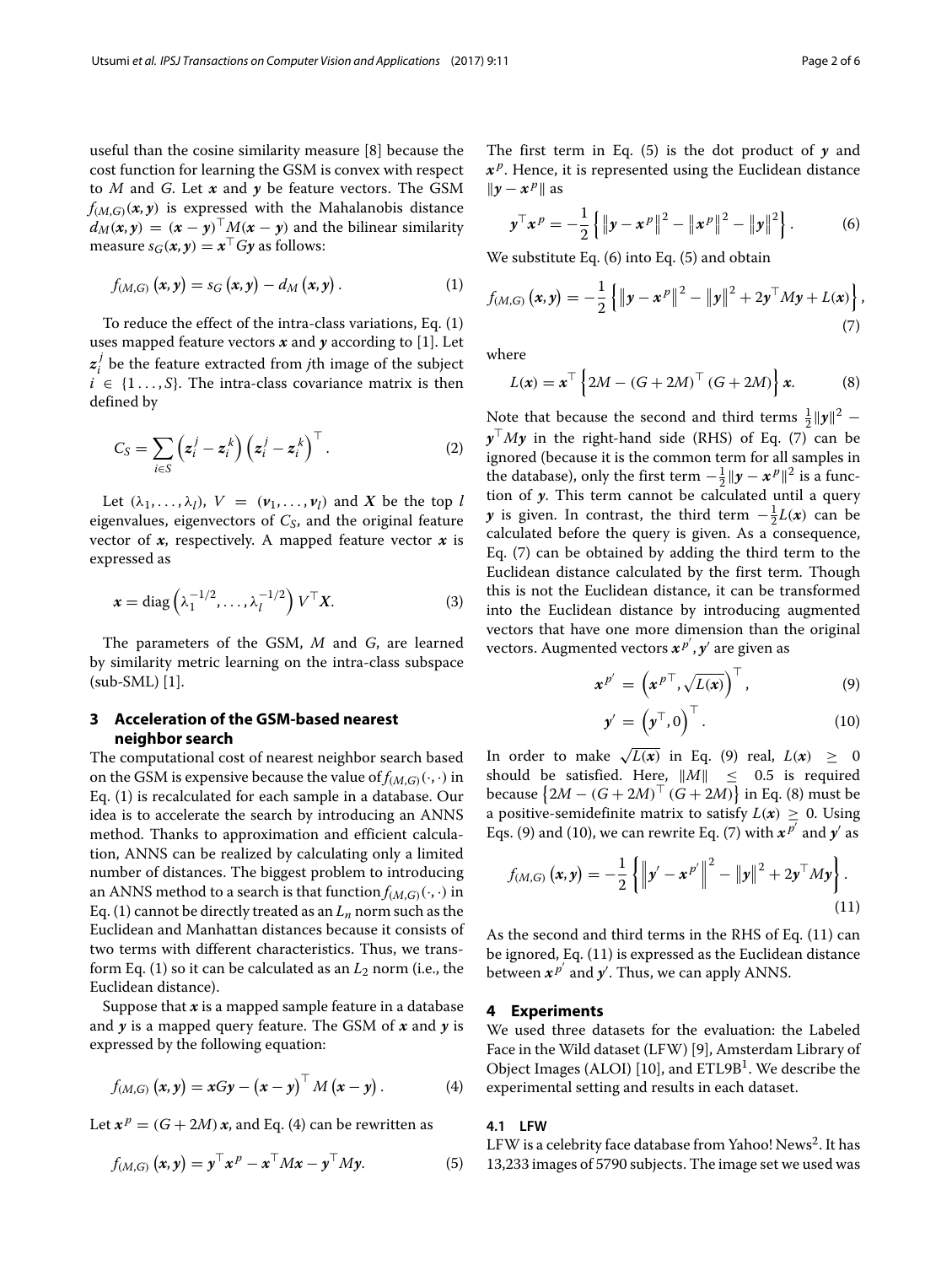<span id="page-1-4"></span><span id="page-1-3"></span>
$$
\mathbf{y}^{\top} \mathbf{x}^{p} = -\frac{1}{2} \left\{ \left\| \mathbf{y} - \mathbf{x}^{p} \right\|^{2} - \left\| \mathbf{x}^{p} \right\|^{2} - \left\| \mathbf{y} \right\|^{2} \right\}.
$$
 (6)

<span id="page-1-0"></span>We substitute Eq. [\(6\)](#page-1-3) into Eq. [\(5\)](#page-1-2) and obtain

$$
f_{(M,G)}\left(\boldsymbol{x},\boldsymbol{y}\right)=-\frac{1}{2}\left\{\left\|\boldsymbol{y}-\boldsymbol{x}^P\right\|^2-\left\|\boldsymbol{y}\right\|^2+2\boldsymbol{y}^\top M\boldsymbol{y}+L(\boldsymbol{x})\right\},\tag{7}
$$

where

<span id="page-1-6"></span>
$$
L(\mathbf{x}) = \mathbf{x}^\top \left\{ 2M - (G + 2M)^\top (G + 2M) \right\} \mathbf{x}.
$$
 (8)

Note that because the second and third terms  $\frac{1}{2}||y||^2$  – *y*-*My* in the right-hand side (RHS) of Eq. [\(7\)](#page-1-4) can be ignored (because it is the common term for all samples in the database), only the first term  $-\frac{1}{2} ||y - x^p||^2$  is a function of *y*. This term cannot be calculated until a query *y* is given. In contrast, the third term  $-\frac{1}{2}L(x)$  can be calculated before the query is given. As a consequence, Eq. [\(7\)](#page-1-4) can be obtained by adding the third term to the Euclidean distance calculated by the first term. Though this is not the Euclidean distance, it can be transformed into the Euclidean distance by introducing augmented vectors that have one more dimension than the original vectors. Augmented vectors *x <sup>p</sup>* , *y* are given as

<span id="page-1-5"></span>
$$
x^{p'} = \left(x^{p\top}, \sqrt{L(x)}\right)^{\top}, \tag{9}
$$

<span id="page-1-7"></span>
$$
\mathbf{y}' = \left(\mathbf{y}^\top, 0\right)^\top. \tag{10}
$$

In order to make  $\sqrt{L(x)}$  in Eq. [\(9\)](#page-1-5) real,  $L(x) \geq 0$ should be satisfied. Here,  $\|M\| \leq 0.5$  is required **because**  $\{2M - (G + 2M)^{T} (G + 2M)\}$  in Eq. [\(8\)](#page-1-6) must be a positive-semidefinite matrix to satisfy  $L(x) > 0$ . Using Eqs. [\(9\)](#page-1-5) and [\(10\)](#page-1-5), we can rewrite Eq. [\(7\)](#page-1-4) with  $x^{p'}$  and  $y'$  as

$$
f_{(M,G)}\left(\boldsymbol{x},\boldsymbol{y}\right)=-\frac{1}{2}\left\{\left\|\boldsymbol{y}'-\boldsymbol{x}^{p'}\right\|^2-\left\|\boldsymbol{y}\right\|^2+2\boldsymbol{y}^\top M \boldsymbol{y}\right\}.
$$
\n(11)

As the second and third terms in the RHS of Eq. [\(11\)](#page-1-7) can be ignored, Eq. [\(11\)](#page-1-7) is expressed as the Euclidean distance between  $\boldsymbol{x}^{p'}$  and  $\boldsymbol{y}'$ . Thus, we can apply ANNS.

#### **4 Experiments**

<span id="page-1-1"></span>We used three datasets for the evaluation: the Labeled Face in the Wild dataset (LFW) [\[9\]](#page-4-8), Amsterdam Library of Object Images (ALOI) [\[10\]](#page-4-9), and  $ETL9B<sup>1</sup>$ . We describe the experimental setting and results in each dataset.

#### <span id="page-1-2"></span>**4.1 LFW**

LFW is a celebrity face database from Yahoo! News<sup>2</sup>. It has 13,233 images of 5790 subjects. The image set we used was

to *M* and *G*. Let *x* and *y* be feature vectors. The GSM  $f_{(M,G)}(x, y)$  is expressed with the Mahalanobis distance  $d_M(x,y) = (x-y)^{\top} M(x-y)$  and the bilinear similarity measure  $s_G(x, y) = x^\top Gy$  as follows:

$$
f_{(M,G)}(x,y)=s_G(x,y)-d_M(x,y).
$$
 (1)

To reduce the effect of the intra-class variations, Eq. [\(1\)](#page-1-0) uses mapped feature vectors *x* and *y* according to [\[1\]](#page-4-0). Let  $z_i^j$  be the feature extracted from *j*th image of the subject  $i \in \{1 \ldots, S\}$ . The intra-class covariance matrix is then defined by

$$
C_S = \sum_{i \in S} \left( z_i^j - z_i^k \right) \left( z_i^j - z_i^k \right)^{\top} . \tag{2}
$$

Let  $(\lambda_1, \ldots, \lambda_l)$ ,  $V = (v_1, \ldots, v_l)$  and X be the top *l* eigenvalues, eigenvectors of *CS*, and the original feature vector of  $x$ , respectively. A mapped feature vector  $x$  is expressed as

$$
\mathbf{x} = \text{diag}\left(\lambda_1^{-1/2}, \dots, \lambda_l^{-1/2}\right) V^\top \mathbf{X}.\tag{3}
$$

The parameters of the GSM, *M* and *G*, are learned by similarity metric learning on the intra-class subspace (sub-SML) [\[1\]](#page-4-0).

# **3 Acceleration of the GSM-based nearest neighbor search**

The computational cost of nearest neighbor search based on the GSM is expensive because the value of  $f_{(M,G)}(\cdot,\cdot)$  in Eq. [\(1\)](#page-1-0) is recalculated for each sample in a database. Our idea is to accelerate the search by introducing an ANNS method. Thanks to approximation and efficient calculation, ANNS can be realized by calculating only a limited number of distances. The biggest problem to introducing an ANNS method to a search is that function  $f_{(M,G)}(\cdot,\cdot)$  in Eq. [\(1\)](#page-1-0) cannot be directly treated as an  $L_n$  norm such as the Euclidean and Manhattan distances because it consists of two terms with different characteristics. Thus, we transform Eq. [\(1\)](#page-1-0) so it can be calculated as an *L*<sup>2</sup> norm (i.e., the Euclidean distance).

Suppose that *x* is a mapped sample feature in a database and *y* is a mapped query feature. The GSM of *x* and *y* is expressed by the following equation:

$$
f_{(M,G)}(x,y) = xGy - (x - y)^{\top} M (x - y).
$$
 (4)

Let  $\mathbf{x}^p = (G + 2M)\mathbf{x}$ , and Eq. [\(4\)](#page-1-1) can be rewritten as

$$
f_{(M,G)}\left(\boldsymbol{x},\boldsymbol{y}\right)=\boldsymbol{y}^{\top}\boldsymbol{x}^{p}-\boldsymbol{x}^{\top}M\boldsymbol{x}-\boldsymbol{y}^{\top}M\boldsymbol{y}.\tag{5}
$$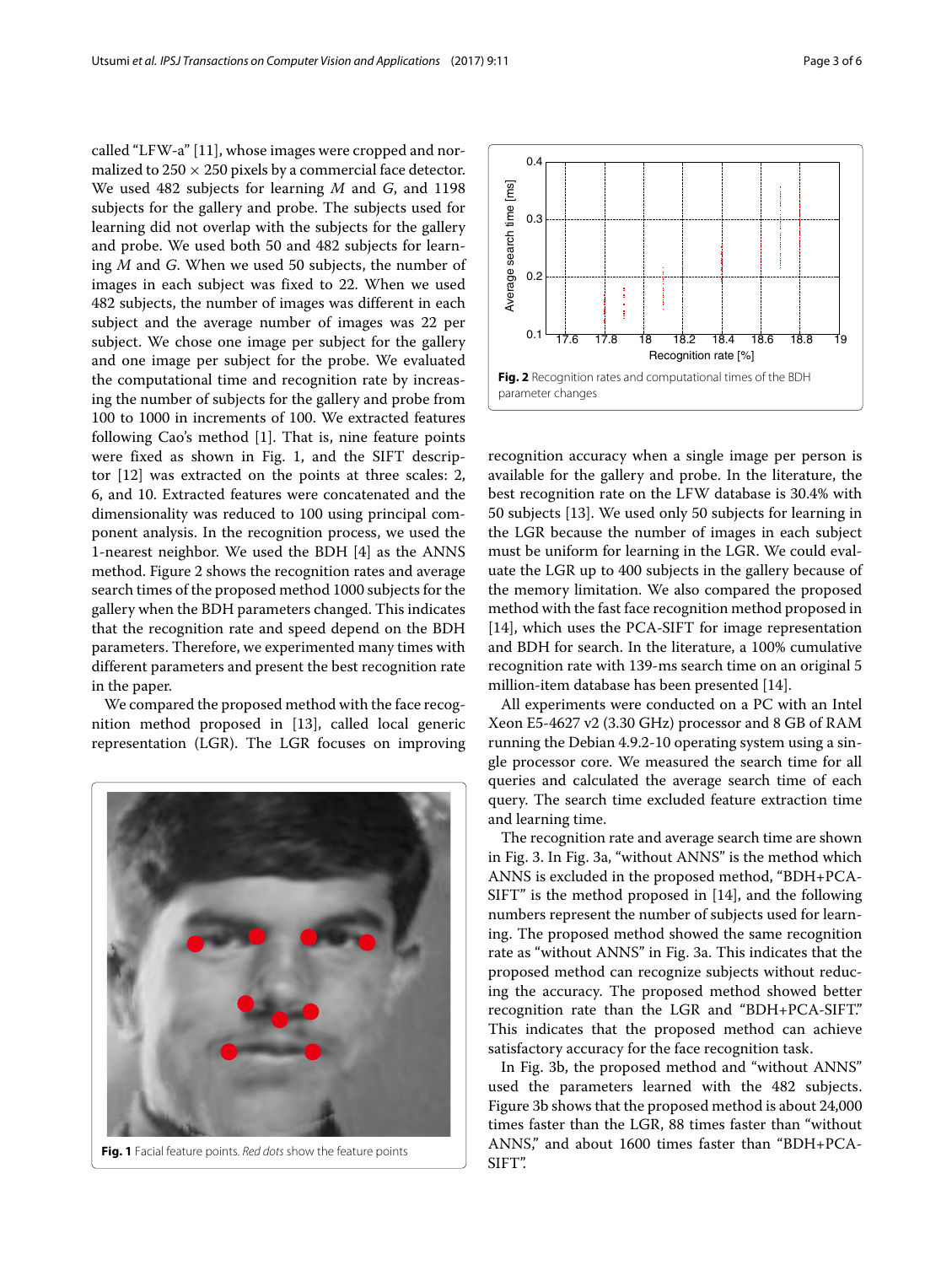called "LFW-a" [\[11\]](#page-4-10), whose images were cropped and normalized to  $250 \times 250$  pixels by a commercial face detector. We used 482 subjects for learning *M* and *G*, and 1198 subjects for the gallery and probe. The subjects used for learning did not overlap with the subjects for the gallery and probe. We used both 50 and 482 subjects for learning *M* and *G*. When we used 50 subjects, the number of images in each subject was fixed to 22. When we used 482 subjects, the number of images was different in each subject and the average number of images was 22 per subject. We chose one image per subject for the gallery and one image per subject for the probe. We evaluated the computational time and recognition rate by increasing the number of subjects for the gallery and probe from 100 to 1000 in increments of 100. We extracted features following Cao's method [\[1\]](#page-4-0). That is, nine feature points were fixed as shown in Fig. [1,](#page-2-0) and the SIFT descriptor [\[12\]](#page-4-11) was extracted on the points at three scales: 2, 6, and 10. Extracted features were concatenated and the dimensionality was reduced to 100 using principal component analysis. In the recognition process, we used the 1-nearest neighbor. We used the BDH [\[4\]](#page-4-3) as the ANNS method. Figure [2](#page-2-1) shows the recognition rates and average search times of the proposed method 1000 subjects for the gallery when the BDH parameters changed. This indicates that the recognition rate and speed depend on the BDH parameters. Therefore, we experimented many times with different parameters and present the best recognition rate in the paper.

We compared the proposed method with the face recognition method proposed in [\[13\]](#page-4-12), called local generic representation (LGR). The LGR focuses on improving



**Fig. 1** Facial feature points. Red dots show the feature points



<span id="page-2-1"></span>recognition accuracy when a single image per person is available for the gallery and probe. In the literature, the best recognition rate on the LFW database is 30.4% with 50 subjects [\[13\]](#page-4-12). We used only 50 subjects for learning in the LGR because the number of images in each subject must be uniform for learning in the LGR. We could evaluate the LGR up to 400 subjects in the gallery because of the memory limitation. We also compared the proposed method with the fast face recognition method proposed in [\[14\]](#page-5-0), which uses the PCA-SIFT for image representation and BDH for search. In the literature, a 100% cumulative recognition rate with 139-ms search time on an original 5 million-item database has been presented [\[14\]](#page-5-0).

All experiments were conducted on a PC with an Intel Xeon E5-4627 v2 (3.30 GHz) processor and 8 GB of RAM running the Debian 4.9.2-10 operating system using a single processor core. We measured the search time for all queries and calculated the average search time of each query. The search time excluded feature extraction time and learning time.

The recognition rate and average search time are shown in Fig. [3.](#page-3-0) In Fig. [3](#page-3-0)[a,](#page-3-1) "without ANNS" is the method which ANNS is excluded in the proposed method, "BDH+PCA-SIFT" is the method proposed in [\[14\]](#page-5-0), and the following numbers represent the number of subjects used for learning. The proposed method showed the same recognition rate as "without ANNS" in Fig. [3](#page-3-0)[a.](#page-3-1) This indicates that the proposed method can recognize subjects without reducing the accuracy. The proposed method showed better recognition rate than the LGR and "BDH+PCA-SIFT." This indicates that the proposed method can achieve satisfactory accuracy for the face recognition task.

<span id="page-2-0"></span>In Fig. [3](#page-3-0)[b,](#page-3-1) the proposed method and "without ANNS" used the parameters learned with the 482 subjects. Figure [3](#page-3-0)[b](#page-3-1) shows that the proposed method is about 24,000 times faster than the LGR, 88 times faster than "without ANNS," and about 1600 times faster than "BDH+PCA-SIFT".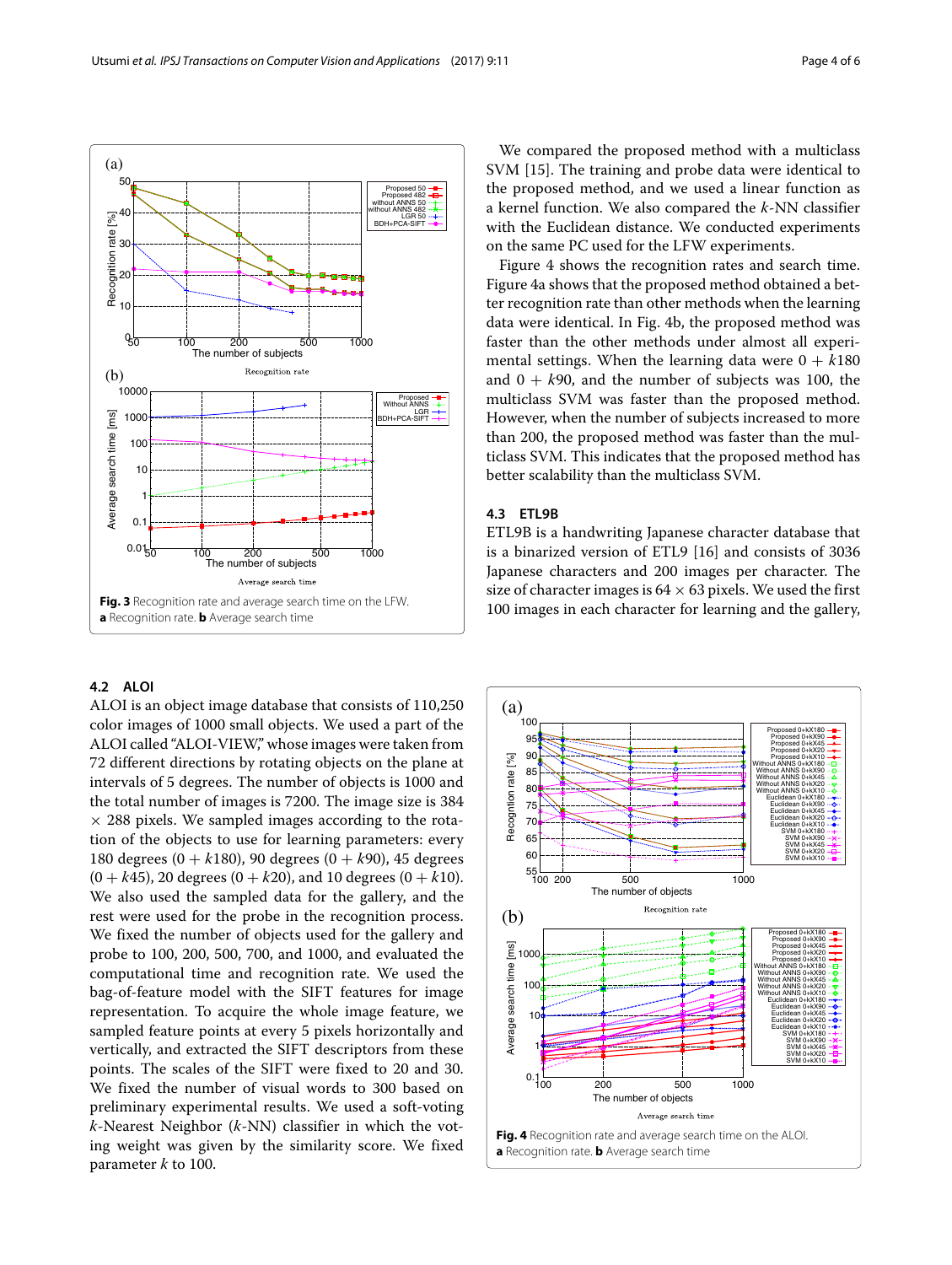Utsumi *et al. IPSJ Transactions on Computer Vision and Applications* (2017) 9:11 Page 4 of 6



## <span id="page-3-1"></span><span id="page-3-0"></span>**4.2 ALOI**

ALOI is an object image database that consists of 110,250 color images of 1000 small objects. We used a part of the ALOI called "ALOI-VIEW," whose images were taken from 72 different directions by rotating objects on the plane at intervals of 5 degrees. The number of objects is 1000 and the total number of images is 7200. The image size is 384  $\times$  288 pixels. We sampled images according to the rotation of the objects to use for learning parameters: every 180 degrees (0 + *k*180), 90 degrees (0 + *k*90), 45 degrees  $(0 + k45)$ , 20 degrees  $(0 + k20)$ , and 10 degrees  $(0 + k10)$ . We also used the sampled data for the gallery, and the rest were used for the probe in the recognition process. We fixed the number of objects used for the gallery and probe to 100, 200, 500, 700, and 1000, and evaluated the computational time and recognition rate. We used the bag-of-feature model with the SIFT features for image representation. To acquire the whole image feature, we sampled feature points at every 5 pixels horizontally and vertically, and extracted the SIFT descriptors from these points. The scales of the SIFT were fixed to 20 and 30. We fixed the number of visual words to 300 based on preliminary experimental results. We used a soft-voting *k*-Nearest Neighbor (*k*-NN) classifier in which the voting weight was given by the similarity score. We fixed parameter *k* to 100.

We compared the proposed method with a multiclass SVM [\[15\]](#page-5-1). The training and probe data were identical to the proposed method, and we used a linear function as a kernel function. We also compared the *k*-NN classifier with the Euclidean distance. We conducted experiments on the same PC used for the LFW experiments.

Figure [4](#page-3-2) shows the recognition rates and search time. Figure [4](#page-3-2)[a](#page-3-3) shows that the proposed method obtained a better recognition rate than other methods when the learning data were identical. In Fig. [4](#page-3-2)[b,](#page-3-3) the proposed method was faster than the other methods under almost all experimental settings. When the learning data were  $0 + k180$ and  $0 + k90$ , and the number of subjects was 100, the multiclass SVM was faster than the proposed method. However, when the number of subjects increased to more than 200, the proposed method was faster than the multiclass SVM. This indicates that the proposed method has better scalability than the multiclass SVM.

#### **4.3 ETL9B**

ETL9B is a handwriting Japanese character database that is a binarized version of ETL9 [\[16\]](#page-5-2) and consists of 3036 Japanese characters and 200 images per character. The size of character images is  $64 \times 63$  pixels. We used the first 100 images in each character for learning and the gallery,

<span id="page-3-3"></span><span id="page-3-2"></span>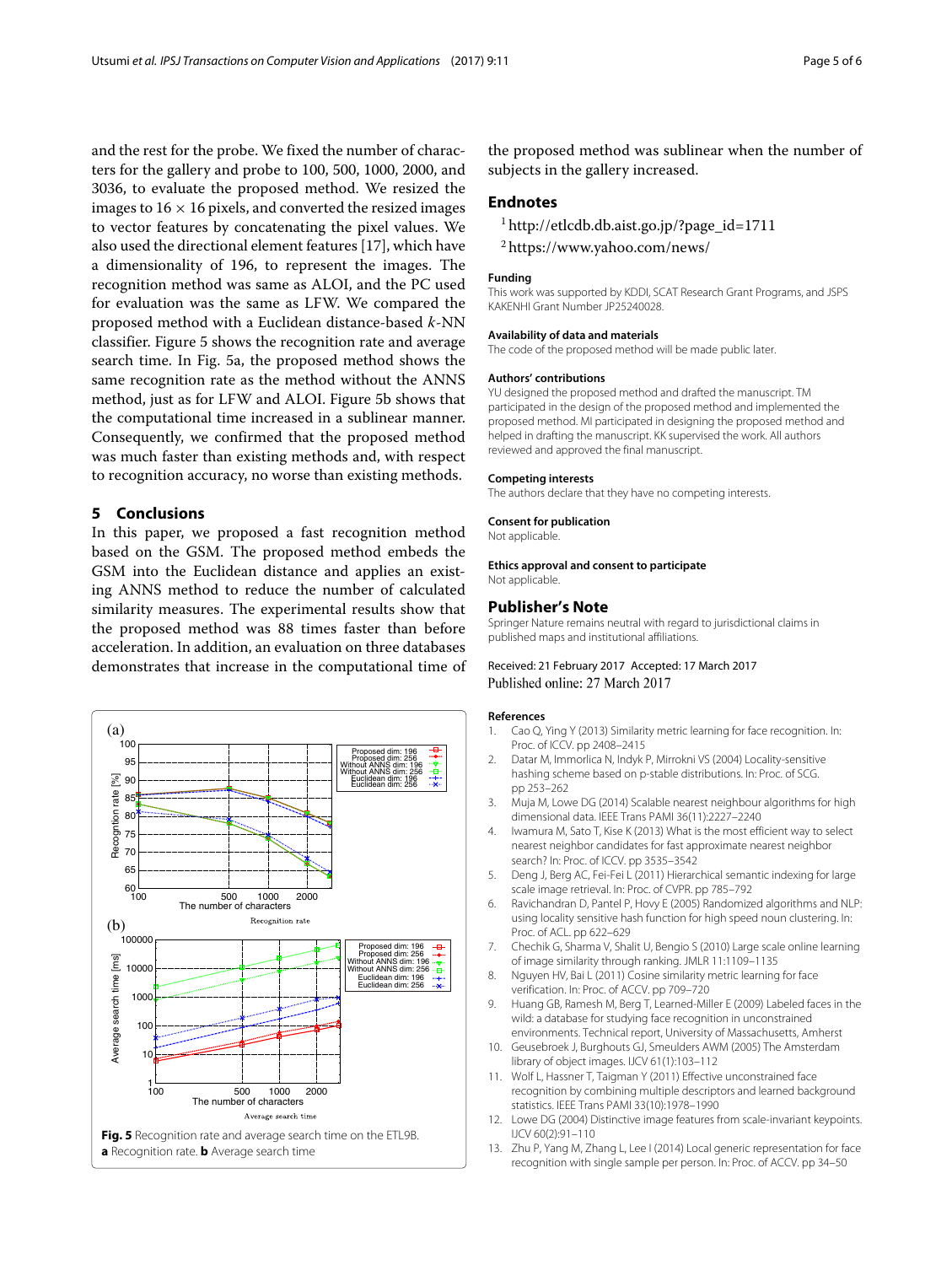and the rest for the probe. We fixed the number of characters for the gallery and probe to 100, 500, 1000, 2000, and 3036, to evaluate the proposed method. We resized the images to  $16 \times 16$  pixels, and converted the resized images to vector features by concatenating the pixel values. We also used the directional element features [\[17\]](#page-5-3), which have a dimensionality of 196, to represent the images. The recognition method was same as ALOI, and the PC used for evaluation was the same as LFW. We compared the proposed method with a Euclidean distance-based *k*-NN classifier. Figure [5](#page-4-13) shows the recognition rate and average search time. In Fig. [5](#page-4-13)[a,](#page-4-14) the proposed method shows the same recognition rate as the method without the ANNS method, just as for LFW and ALOI. Figure [5](#page-4-13)[b](#page-4-14) shows that the computational time increased in a sublinear manner. Consequently, we confirmed that the proposed method was much faster than existing methods and, with respect to recognition accuracy, no worse than existing methods.

### **5 Conclusions**

In this paper, we proposed a fast recognition method based on the GSM. The proposed method embeds the GSM into the Euclidean distance and applies an existing ANNS method to reduce the number of calculated similarity measures. The experimental results show that the proposed method was 88 times faster than before acceleration. In addition, an evaluation on three databases demonstrates that increase in the computational time of



the proposed method was sublinear when the number of subjects in the gallery increased.

#### **Endnotes**

- <sup>1</sup> [http://etlcdb.db.aist.go.jp/?page\\_id=1711](http://etlcdb.db.aist.go.jp/?page_id=1711)
- <sup>2</sup> <https://www.yahoo.com/news/>

#### **Funding**

This work was supported by KDDI, SCAT Research Grant Programs, and JSPS KAKENHI Grant Number JP25240028.

#### **Availability of data and materials**

The code of the proposed method will be made public later.

#### **Authors' contributions**

YU designed the proposed method and drafted the manuscript. TM participated in the design of the proposed method and implemented the proposed method. MI participated in designing the proposed method and helped in drafting the manuscript. KK supervised the work. All authors reviewed and approved the final manuscript.

# **Competing interests**

The authors declare that they have no competing interests.

#### **Consent for publication**

Not applicable.

**Ethics approval and consent to participate** Not applicable.

#### **Publisher's Note**

Springer Nature remains neutral with regard to jurisdictional claims in published maps and institutional affiliations.

#### Received: 21 February 2017 Accepted: 17 March 2017 Published online: 27 March 2017

#### **References**

- <span id="page-4-0"></span>1. Cao Q, Ying Y (2013) Similarity metric learning for face recognition. In: Proc. of ICCV. pp 2408–2415
- <span id="page-4-1"></span>2. Datar M, Immorlica N, Indyk P, Mirrokni VS (2004) Locality-sensitive hashing scheme based on p-stable distributions. In: Proc. of SCG. pp 253–262
- <span id="page-4-2"></span>3. Muja M, Lowe DG (2014) Scalable nearest neighbour algorithms for high dimensional data. IEEE Trans PAMI 36(11):2227–2240
- <span id="page-4-3"></span>4. Iwamura M, Sato T, Kise K (2013) What is the most efficient way to select nearest neighbor candidates for fast approximate nearest neighbor search? In: Proc. of ICCV. pp 3535–3542
- <span id="page-4-4"></span>5. Deng J, Berg AC, Fei-Fei L (2011) Hierarchical semantic indexing for large scale image retrieval. In: Proc. of CVPR. pp 785–792
- <span id="page-4-5"></span>6. Ravichandran D, Pantel P, Hovy E (2005) Randomized algorithms and NLP: using locality sensitive hash function for high speed noun clustering. In: Proc. of ACL. pp 622–629
- <span id="page-4-6"></span>7. Chechik G, Sharma V, Shalit U, Bengio S (2010) Large scale online learning of image similarity through ranking. JMLR 11:1109–1135
- <span id="page-4-7"></span>8. Nguyen HV, Bai L (2011) Cosine similarity metric learning for face verification. In: Proc. of ACCV. pp 709–720
- <span id="page-4-8"></span>9. Huang GB, Ramesh M, Berg T, Learned-Miller E (2009) Labeled faces in the wild: a database for studying face recognition in unconstrained environments. Technical report, University of Massachusetts, Amherst
- <span id="page-4-9"></span>10. Geusebroek J, Burghouts GJ, Smeulders AWM (2005) The Amsterdam library of object images. IJCV 61(1):103–112
- <span id="page-4-10"></span>11. Wolf L, Hassner T, Taigman Y (2011) Effective unconstrained face recognition by combining multiple descriptors and learned background statistics. IEEE Trans PAMI 33(10):1978–1990
- <span id="page-4-11"></span>12. Lowe DG (2004) Distinctive image features from scale-invariant keypoints. IJCV 60(2):91–110
- <span id="page-4-14"></span><span id="page-4-13"></span><span id="page-4-12"></span>13. Zhu P, Yang M, Zhang L, Lee I (2014) Local generic representation for face recognition with single sample per person. In: Proc. of ACCV. pp 34–50